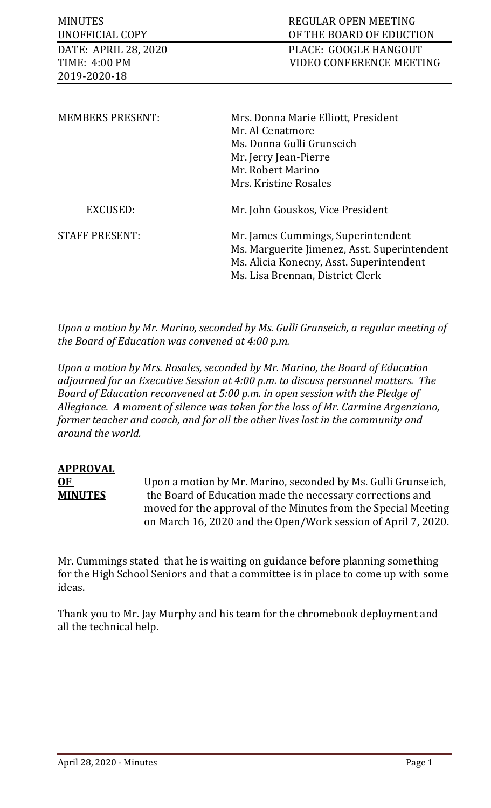| <b>MINUTES</b><br>UNOFFICIAL COPY<br>DATE: APRIL 28, 2020<br>TIME: 4:00 PM<br>2019-2020-18 | REGULAR OPEN MEETING<br>OF THE BOARD OF EDUCTION<br>PLACE: GOOGLE HANGOUT<br>VIDEO CONFERENCE MEETING                                                              |
|--------------------------------------------------------------------------------------------|--------------------------------------------------------------------------------------------------------------------------------------------------------------------|
| <b>MEMBERS PRESENT:</b>                                                                    | Mrs. Donna Marie Elliott, President<br>Mr. Al Cenatmore<br>Ms. Donna Gulli Grunseich<br>Mr. Jerry Jean-Pierre<br>Mr. Robert Marino<br>Mrs. Kristine Rosales        |
| EXCUSED:                                                                                   | Mr. John Gouskos, Vice President                                                                                                                                   |
| <b>STAFF PRESENT:</b>                                                                      | Mr. James Cummings, Superintendent<br>Ms. Marguerite Jimenez, Asst. Superintendent<br>Ms. Alicia Konecny, Asst. Superintendent<br>Ms. Lisa Brennan, District Clerk |

*Upon a motion by Mr. Marino, seconded by Ms. Gulli Grunseich, a regular meeting of the Board of Education was convened at 4:00 p.m.*

*Upon a motion by Mrs. Rosales, seconded by Mr. Marino, the Board of Education adjourned for an Executive Session at 4:00 p.m. to discuss personnel matters. The Board of Education reconvened at 5:00 p.m. in open session with the Pledge of Allegiance. A moment of silence was taken for the loss of Mr. Carmine Argenziano, former teacher and coach, and for all the other lives lost in the community and around the world.* 

# **APPROVAL**

**OF** Upon a motion by Mr. Marino, seconded by Ms. Gulli Grunseich,<br>**MINUTES** the Board of Education made the necessary corrections and the Board of Education made the necessary corrections and moved for the approval of the Minutes from the Special Meeting on March 16, 2020 and the Open/Work session of April 7, 2020.

Mr. Cummings stated that he is waiting on guidance before planning something for the High School Seniors and that a committee is in place to come up with some ideas.

Thank you to Mr. Jay Murphy and his team for the chromebook deployment and all the technical help.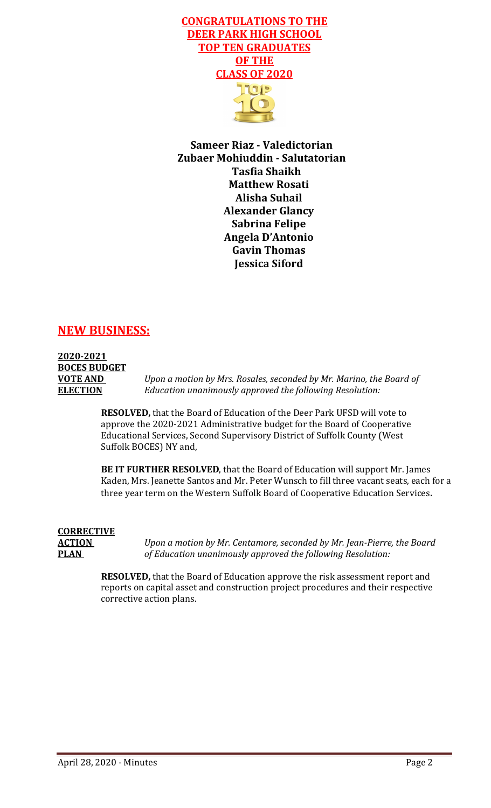

**Sameer Riaz - Valedictorian Zubaer Mohiuddin - Salutatorian Tasfia Shaikh Matthew Rosati Alisha Suhail Alexander Glancy Sabrina Felipe Angela D'Antonio Gavin Thomas Jessica Siford**

# **NEW BUSINESS:**

# **2020-2021 BOCES BUDGET**

**VOTE AND** *Upon a motion by Mrs. Rosales, seconded by Mr. Marino, the Board of*  **ELECTION** *Education unanimously approved the following Resolution:*

> **RESOLVED,** that the Board of Education of the Deer Park UFSD will vote to approve the 2020-2021 Administrative budget for the Board of Cooperative Educational Services, Second Supervisory District of Suffolk County (West Suffolk BOCES) NY and,

**BE IT FURTHER RESOLVED**, that the Board of Education will support Mr. James Kaden, Mrs. Jeanette Santos and Mr. Peter Wunsch to fill three vacant seats, each for a three year term on the Western Suffolk Board of Cooperative Education Services.

# **CORRECTIVE**

**ACTION** *Upon a motion by Mr. Centamore, seconded by Mr. Jean-Pierre, the Board* **PLAN** *of Education unanimously approved the following Resolution:*

> **RESOLVED,** that the Board of Education approve the risk assessment report and reports on capital asset and construction project procedures and their respective corrective action plans.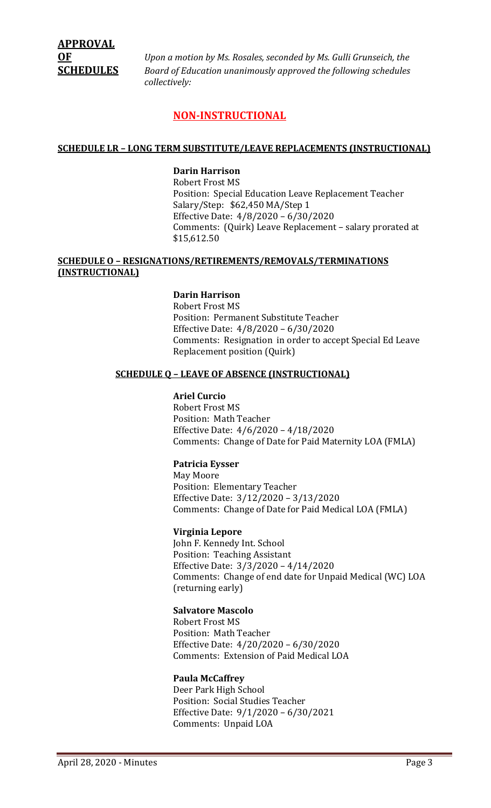**OF** *Upon a motion by Ms. Rosales, seconded by Ms. Gulli Grunseich, the*  **SCHEDULES** *Board of Education unanimously approved the following schedules collectively:*

### **NON-INSTRUCTIONAL**

#### **SCHEDULE LR – LONG TERM SUBSTITUTE/LEAVE REPLACEMENTS (INSTRUCTIONAL)**

#### **Darin Harrison**

Robert Frost MS Position: Special Education Leave Replacement Teacher Salary/Step: \$62,450 MA/Step 1 Effective Date: 4/8/2020 – 6/30/2020 Comments: (Quirk) Leave Replacement – salary prorated at \$15,612.50

#### **SCHEDULE O – RESIGNATIONS/RETIREMENTS/REMOVALS/TERMINATIONS (INSTRUCTIONAL)**

#### **Darin Harrison**

Robert Frost MS Position: Permanent Substitute Teacher Effective Date: 4/8/2020 – 6/30/2020 Comments: Resignation in order to accept Special Ed Leave Replacement position (Quirk)

#### **SCHEDULE Q – LEAVE OF ABSENCE (INSTRUCTIONAL)**

#### **Ariel Curcio**

Robert Frost MS Position: Math Teacher Effective Date: 4/6/2020 – 4/18/2020 Comments: Change of Date for Paid Maternity LOA (FMLA)

#### **Patricia Eysser**

May Moore Position: Elementary Teacher Effective Date: 3/12/2020 – 3/13/2020 Comments: Change of Date for Paid Medical LOA (FMLA)

#### **Virginia Lepore**

John F. Kennedy Int. School Position: Teaching Assistant Effective Date: 3/3/2020 – 4/14/2020 Comments: Change of end date for Unpaid Medical (WC) LOA (returning early)

#### **Salvatore Mascolo**

Robert Frost MS Position: Math Teacher Effective Date: 4/20/2020 – 6/30/2020 Comments: Extension of Paid Medical LOA

#### **Paula McCaffrey**

Deer Park High School Position: Social Studies Teacher Effective Date: 9/1/2020 – 6/30/2021 Comments: Unpaid LOA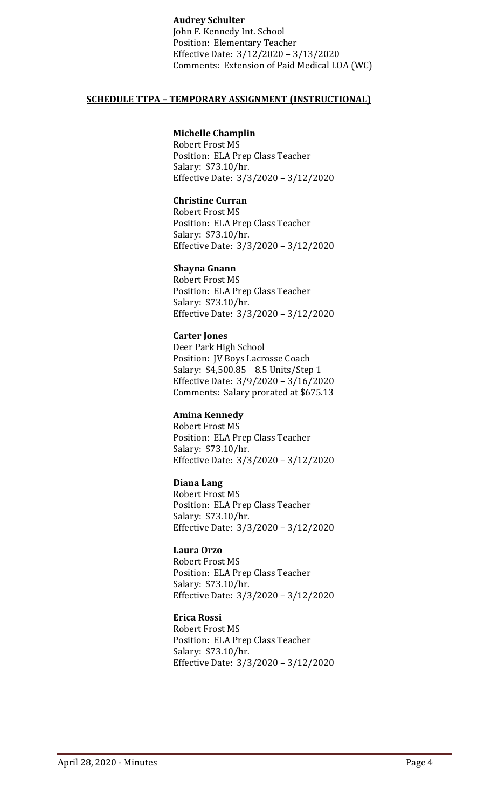#### **Audrey Schulter**

John F. Kennedy Int. School Position: Elementary Teacher Effective Date: 3/12/2020 – 3/13/2020 Comments: Extension of Paid Medical LOA (WC)

#### **SCHEDULE TTPA – TEMPORARY ASSIGNMENT (INSTRUCTIONAL)**

#### **Michelle Champlin**

Robert Frost MS Position: ELA Prep Class Teacher Salary: \$73.10/hr. Effective Date: 3/3/2020 – 3/12/2020

#### **Christine Curran**

Robert Frost MS Position: ELA Prep Class Teacher Salary: \$73.10/hr. Effective Date: 3/3/2020 – 3/12/2020

#### **Shayna Gnann**

Robert Frost MS Position: ELA Prep Class Teacher Salary: \$73.10/hr. Effective Date: 3/3/2020 – 3/12/2020

#### **Carter Jones**

Deer Park High School Position: JV Boys Lacrosse Coach Salary: \$4,500.85 8.5 Units/Step 1 Effective Date: 3/9/2020 – 3/16/2020 Comments: Salary prorated at \$675.13

#### **Amina Kennedy**

Robert Frost MS Position: ELA Prep Class Teacher Salary: \$73.10/hr. Effective Date: 3/3/2020 – 3/12/2020

#### **Diana Lang**

Robert Frost MS Position: ELA Prep Class Teacher Salary: \$73.10/hr. Effective Date: 3/3/2020 – 3/12/2020

#### **Laura Orzo**

Robert Frost MS Position: ELA Prep Class Teacher Salary: \$73.10/hr. Effective Date: 3/3/2020 – 3/12/2020

#### **Erica Rossi**

Robert Frost MS Position: ELA Prep Class Teacher Salary: \$73.10/hr. Effective Date: 3/3/2020 – 3/12/2020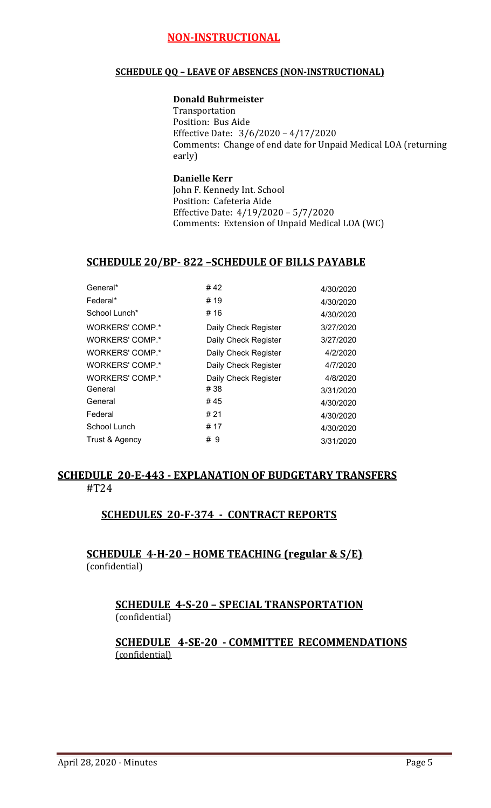# **NON-INSTRUCTIONAL**

#### **SCHEDULE QQ – LEAVE OF ABSENCES (NON-INSTRUCTIONAL)**

#### **Donald Buhrmeister**

Transportation Position: Bus Aide Effective Date: 3/6/2020 – 4/17/2020 Comments: Change of end date for Unpaid Medical LOA (returning early)

#### **Danielle Kerr** John F. Kennedy Int. School Position: Cafeteria Aide Effective Date: 4/19/2020 – 5/7/2020 Comments: Extension of Unpaid Medical LOA (WC)

# **SCHEDULE 20/BP- 822 –SCHEDULE OF BILLS PAYABLE**

| General*               | # 42                 | 4/30/2020 |
|------------------------|----------------------|-----------|
| Federal*               | # 19                 | 4/30/2020 |
| School Lunch*          | # 16                 | 4/30/2020 |
| <b>WORKERS' COMP.*</b> | Daily Check Register | 3/27/2020 |
| <b>WORKERS' COMP.*</b> | Daily Check Register | 3/27/2020 |
| <b>WORKERS' COMP.*</b> | Daily Check Register | 4/2/2020  |
| <b>WORKERS' COMP.*</b> | Daily Check Register | 4/7/2020  |
| <b>WORKERS' COMP.*</b> | Daily Check Register | 4/8/2020  |
| General                | #38                  | 3/31/2020 |
| General                | # 45                 | 4/30/2020 |
| Federal                | # 21                 | 4/30/2020 |
| School Lunch           | # 17                 | 4/30/2020 |
| Trust & Agency         | # 9                  | 3/31/2020 |
|                        |                      |           |

# **SCHEDULE 20-E-443 - EXPLANATION OF BUDGETARY TRANSFERS** #T24

# **SCHEDULES 20-F-374 - CONTRACT REPORTS**

**SCHEDULE 4-H-20 – HOME TEACHING (regular & S/E)**  (confidential)

# **SCHEDULE 4-S-20 – SPECIAL TRANSPORTATION**  (confidential)

**SCHEDULE 4-SE-20 - COMMITTEE RECOMMENDATIONS** (confidential)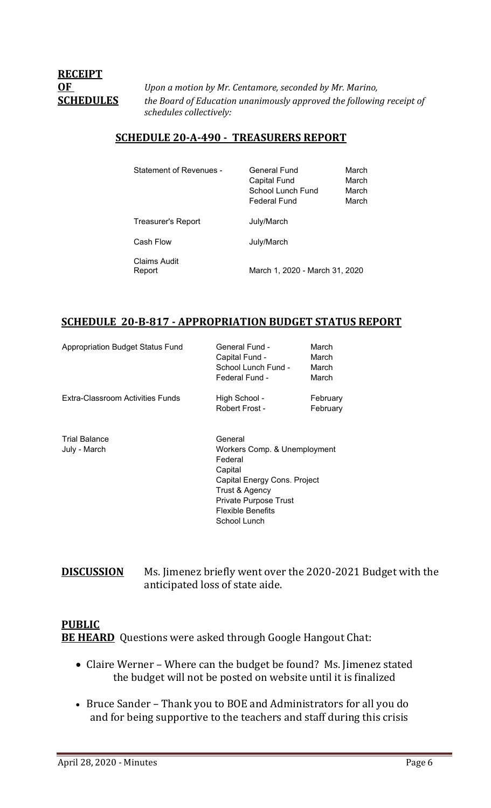# **RECEIPT**

**OF** *Upon a motion by Mr. Centamore, seconded by Mr. Marino,*  **SCHEDULES** *the Board of Education unanimously approved the following receipt of schedules collectively:*

# **SCHEDULE 20-A-490 - TREASURERS REPORT**

| Statement of Revenues - | General Fund<br><b>Capital Fund</b><br>School Lunch Fund<br>Federal Fund | March<br>March<br>March<br>March |
|-------------------------|--------------------------------------------------------------------------|----------------------------------|
| Treasurer's Report      | July/March                                                               |                                  |
| Cash Flow               | July/March                                                               |                                  |
| Claims Audit<br>Report  | March 1, 2020 - March 31, 2020                                           |                                  |

# **SCHEDULE 20-B-817 - APPROPRIATION BUDGET STATUS REPORT**

| Appropriation Budget Status Fund     | General Fund -<br>Capital Fund -<br>School Lunch Fund -<br>Federal Fund -                                                                                                            | March<br>March<br>March<br>March |
|--------------------------------------|--------------------------------------------------------------------------------------------------------------------------------------------------------------------------------------|----------------------------------|
| Extra-Classroom Activities Funds     | High School -<br>Robert Frost -                                                                                                                                                      | February<br>February             |
| <b>Trial Balance</b><br>July - March | General<br>Workers Comp. & Unemployment<br>Federal<br>Capital<br>Capital Energy Cons. Project<br>Trust & Agency<br><b>Private Purpose Trust</b><br>Flexible Benefits<br>School Lunch |                                  |

**DISCUSSION** Ms. Jimenez briefly went over the 2020-2021 Budget with the anticipated loss of state aide.

# **PUBLIC BE HEARD** Questions were asked through Google Hangout Chat:

- Claire Werner Where can the budget be found? Ms. Jimenez stated the budget will not be posted on website until it is finalized
- Bruce Sander Thank you to BOE and Administrators for all you do and for being supportive to the teachers and staff during this crisis